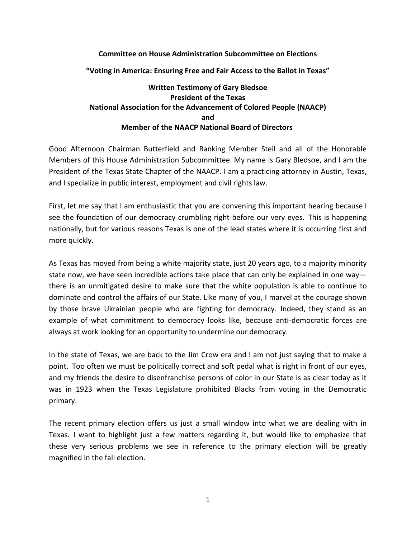## **Committee on House Administration Subcommittee on Elections**

**"Voting in America: Ensuring Free and Fair Access to the Ballot in Texas"**

## **Written Testimony of Gary Bledsoe President of the Texas National Association for the Advancement of Colored People (NAACP) and Member of the NAACP National Board of Directors**

Good Afternoon Chairman Butterfield and Ranking Member Steil and all of the Honorable Members of this House Administration Subcommittee. My name is Gary Bledsoe, and I am the President of the Texas State Chapter of the NAACP. I am a practicing attorney in Austin, Texas, and I specialize in public interest, employment and civil rights law.

First, let me say that I am enthusiastic that you are convening this important hearing because I see the foundation of our democracy crumbling right before our very eyes. This is happening nationally, but for various reasons Texas is one of the lead states where it is occurring first and more quickly.

As Texas has moved from being a white majority state, just 20 years ago, to a majority minority state now, we have seen incredible actions take place that can only be explained in one way there is an unmitigated desire to make sure that the white population is able to continue to dominate and control the affairs of our State. Like many of you, I marvel at the courage shown by those brave Ukrainian people who are fighting for democracy. Indeed, they stand as an example of what commitment to democracy looks like, because anti-democratic forces are always at work looking for an opportunity to undermine our democracy.

In the state of Texas, we are back to the Jim Crow era and I am not just saying that to make a point. Too often we must be politically correct and soft pedal what is right in front of our eyes, and my friends the desire to disenfranchise persons of color in our State is as clear today as it was in 1923 when the Texas Legislature prohibited Blacks from voting in the Democratic primary.

The recent primary election offers us just a small window into what we are dealing with in Texas. I want to highlight just a few matters regarding it, but would like to emphasize that these very serious problems we see in reference to the primary election will be greatly magnified in the fall election.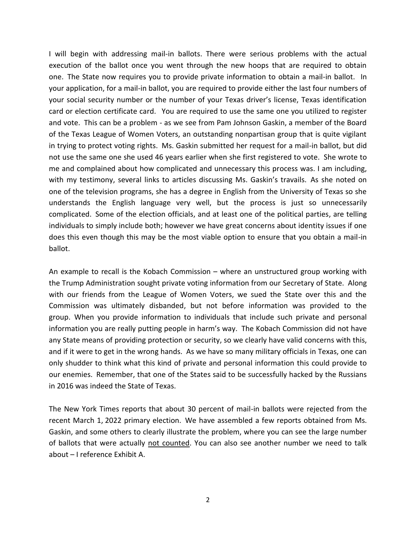I will begin with addressing mail-in ballots. There were serious problems with the actual execution of the ballot once you went through the new hoops that are required to obtain one. The State now requires you to provide private information to obtain a mail-in ballot. In your application, for a mail-in ballot, you are required to provide either the last four numbers of your social security number or the number of your Texas driver's license, Texas identification card or election certificate card. You are required to use the same one you utilized to register and vote. This can be a problem - as we see from Pam Johnson Gaskin, a member of the Board of the Texas League of Women Voters, an outstanding nonpartisan group that is quite vigilant in trying to protect voting rights. Ms. Gaskin submitted her request for a mail-in ballot, but did not use the same one she used 46 years earlier when she first registered to vote. She wrote to me and complained about how complicated and unnecessary this process was. I am including, with my testimony, several links to articles discussing Ms. Gaskin's travails. As she noted on one of the television programs, she has a degree in English from the University of Texas so she understands the English language very well, but the process is just so unnecessarily complicated. Some of the election officials, and at least one of the political parties, are telling individuals to simply include both; however we have great concerns about identity issues if one does this even though this may be the most viable option to ensure that you obtain a mail-in ballot.

An example to recall is the Kobach Commission – where an unstructured group working with the Trump Administration sought private voting information from our Secretary of State. Along with our friends from the League of Women Voters, we sued the State over this and the Commission was ultimately disbanded, but not before information was provided to the group. When you provide information to individuals that include such private and personal information you are really putting people in harm's way. The Kobach Commission did not have any State means of providing protection or security, so we clearly have valid concerns with this, and if it were to get in the wrong hands. As we have so many military officials in Texas, one can only shudder to think what this kind of private and personal information this could provide to our enemies. Remember, that one of the States said to be successfully hacked by the Russians in 2016 was indeed the State of Texas.

The New York Times reports that about 30 percent of mail-in ballots were rejected from the recent March 1, 2022 primary election. We have assembled a few reports obtained from Ms. Gaskin, and some others to clearly illustrate the problem, where you can see the large number of ballots that were actually not counted. You can also see another number we need to talk about – I reference Exhibit A.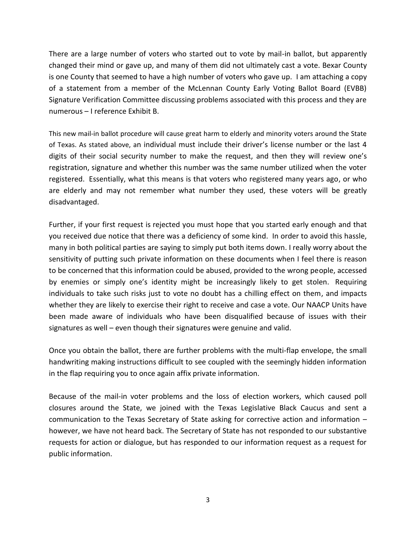There are a large number of voters who started out to vote by mail-in ballot, but apparently changed their mind or gave up, and many of them did not ultimately cast a vote. Bexar County is one County that seemed to have a high number of voters who gave up. I am attaching a copy of a statement from a member of the McLennan County Early Voting Ballot Board (EVBB) Signature Verification Committee discussing problems associated with this process and they are numerous – I reference Exhibit B.

This new mail-in ballot procedure will cause great harm to elderly and minority voters around the State of Texas. As stated above, an individual must include their driver's license number or the last 4 digits of their social security number to make the request, and then they will review one's registration, signature and whether this number was the same number utilized when the voter registered. Essentially, what this means is that voters who registered many years ago, or who are elderly and may not remember what number they used, these voters will be greatly disadvantaged.

Further, if your first request is rejected you must hope that you started early enough and that you received due notice that there was a deficiency of some kind. In order to avoid this hassle, many in both political parties are saying to simply put both items down. I really worry about the sensitivity of putting such private information on these documents when I feel there is reason to be concerned that this information could be abused, provided to the wrong people, accessed by enemies or simply one's identity might be increasingly likely to get stolen. Requiring individuals to take such risks just to vote no doubt has a chilling effect on them, and impacts whether they are likely to exercise their right to receive and case a vote. Our NAACP Units have been made aware of individuals who have been disqualified because of issues with their signatures as well – even though their signatures were genuine and valid.

Once you obtain the ballot, there are further problems with the multi-flap envelope, the small handwriting making instructions difficult to see coupled with the seemingly hidden information in the flap requiring you to once again affix private information.

Because of the mail-in voter problems and the loss of election workers, which caused poll closures around the State, we joined with the Texas Legislative Black Caucus and sent a communication to the Texas Secretary of State asking for corrective action and information – however, we have not heard back. The Secretary of State has not responded to our substantive requests for action or dialogue, but has responded to our information request as a request for public information.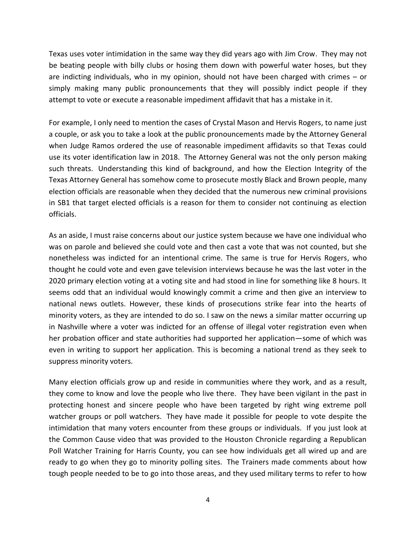Texas uses voter intimidation in the same way they did years ago with Jim Crow. They may not be beating people with billy clubs or hosing them down with powerful water hoses, but they are indicting individuals, who in my opinion, should not have been charged with crimes – or simply making many public pronouncements that they will possibly indict people if they attempt to vote or execute a reasonable impediment affidavit that has a mistake in it.

For example, I only need to mention the cases of Crystal Mason and Hervis Rogers, to name just a couple, or ask you to take a look at the public pronouncements made by the Attorney General when Judge Ramos ordered the use of reasonable impediment affidavits so that Texas could use its voter identification law in 2018. The Attorney General was not the only person making such threats. Understanding this kind of background, and how the Election Integrity of the Texas Attorney General has somehow come to prosecute mostly Black and Brown people, many election officials are reasonable when they decided that the numerous new criminal provisions in SB1 that target elected officials is a reason for them to consider not continuing as election officials.

As an aside, I must raise concerns about our justice system because we have one individual who was on parole and believed she could vote and then cast a vote that was not counted, but she nonetheless was indicted for an intentional crime. The same is true for Hervis Rogers, who thought he could vote and even gave television interviews because he was the last voter in the 2020 primary election voting at a voting site and had stood in line for something like 8 hours. It seems odd that an individual would knowingly commit a crime and then give an interview to national news outlets. However, these kinds of prosecutions strike fear into the hearts of minority voters, as they are intended to do so. I saw on the news a similar matter occurring up in Nashville where a voter was indicted for an offense of illegal voter registration even when her probation officer and state authorities had supported her application—some of which was even in writing to support her application. This is becoming a national trend as they seek to suppress minority voters.

Many election officials grow up and reside in communities where they work, and as a result, they come to know and love the people who live there. They have been vigilant in the past in protecting honest and sincere people who have been targeted by right wing extreme poll watcher groups or poll watchers. They have made it possible for people to vote despite the intimidation that many voters encounter from these groups or individuals. If you just look at the Common Cause video that was provided to the Houston Chronicle regarding a Republican Poll Watcher Training for Harris County, you can see how individuals get all wired up and are ready to go when they go to minority polling sites. The Trainers made comments about how tough people needed to be to go into those areas, and they used military terms to refer to how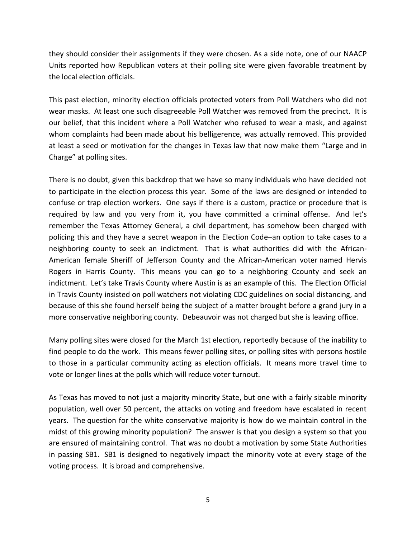they should consider their assignments if they were chosen. As a side note, one of our NAACP Units reported how Republican voters at their polling site were given favorable treatment by the local election officials.

This past election, minority election officials protected voters from Poll Watchers who did not wear masks. At least one such disagreeable Poll Watcher was removed from the precinct. It is our belief, that this incident where a Poll Watcher who refused to wear a mask, and against whom complaints had been made about his belligerence, was actually removed. This provided at least a seed or motivation for the changes in Texas law that now make them "Large and in Charge" at polling sites.

There is no doubt, given this backdrop that we have so many individuals who have decided not to participate in the election process this year. Some of the laws are designed or intended to confuse or trap election workers. One says if there is a custom, practice or procedure that is required by law and you very from it, you have committed a criminal offense. And let's remember the Texas Attorney General, a civil department, has somehow been charged with policing this and they have a secret weapon in the Election Code–an option to take cases to a neighboring county to seek an indictment. That is what authorities did with the African-American female Sheriff of Jefferson County and the African-American voter named Hervis Rogers in Harris County. This means you can go to a neighboring Ccounty and seek an indictment. Let's take Travis County where Austin is as an example of this. The Election Official in Travis County insisted on poll watchers not violating CDC guidelines on social distancing, and because of this she found herself being the subject of a matter brought before a grand jury in a more conservative neighboring county. Debeauvoir was not charged but she is leaving office.

Many polling sites were closed for the March 1st election, reportedly because of the inability to find people to do the work. This means fewer polling sites, or polling sites with persons hostile to those in a particular community acting as election officials. It means more travel time to vote or longer lines at the polls which will reduce voter turnout.

As Texas has moved to not just a majority minority State, but one with a fairly sizable minority population, well over 50 percent, the attacks on voting and freedom have escalated in recent years. The question for the white conservative majority is how do we maintain control in the midst of this growing minority population? The answer is that you design a system so that you are ensured of maintaining control. That was no doubt a motivation by some State Authorities in passing SB1. SB1 is designed to negatively impact the minority vote at every stage of the voting process. It is broad and comprehensive.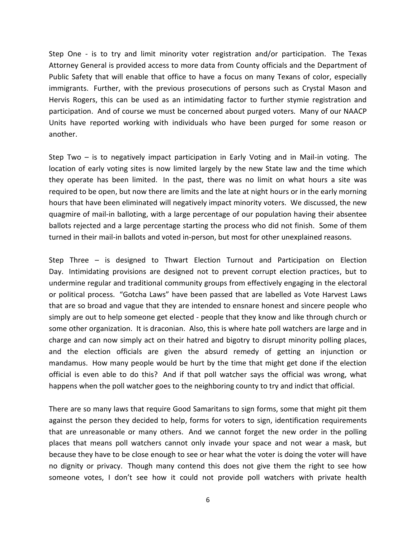Step One - is to try and limit minority voter registration and/or participation. The Texas Attorney General is provided access to more data from County officials and the Department of Public Safety that will enable that office to have a focus on many Texans of color, especially immigrants. Further, with the previous prosecutions of persons such as Crystal Mason and Hervis Rogers, this can be used as an intimidating factor to further stymie registration and participation. And of course we must be concerned about purged voters. Many of our NAACP Units have reported working with individuals who have been purged for some reason or another.

Step Two – is to negatively impact participation in Early Voting and in Mail-in voting. The location of early voting sites is now limited largely by the new State law and the time which they operate has been limited. In the past, there was no limit on what hours a site was required to be open, but now there are limits and the late at night hours or in the early morning hours that have been eliminated will negatively impact minority voters. We discussed, the new quagmire of mail-in balloting, with a large percentage of our population having their absentee ballots rejected and a large percentage starting the process who did not finish. Some of them turned in their mail-in ballots and voted in-person, but most for other unexplained reasons.

Step Three – is designed to Thwart Election Turnout and Participation on Election Day. Intimidating provisions are designed not to prevent corrupt election practices, but to undermine regular and traditional community groups from effectively engaging in the electoral or political process. "Gotcha Laws" have been passed that are labelled as Vote Harvest Laws that are so broad and vague that they are intended to ensnare honest and sincere people who simply are out to help someone get elected - people that they know and like through church or some other organization. It is draconian. Also, this is where hate poll watchers are large and in charge and can now simply act on their hatred and bigotry to disrupt minority polling places, and the election officials are given the absurd remedy of getting an injunction or mandamus. How many people would be hurt by the time that might get done if the election official is even able to do this? And if that poll watcher says the official was wrong, what happens when the poll watcher goes to the neighboring county to try and indict that official.

There are so many laws that require Good Samaritans to sign forms, some that might pit them against the person they decided to help, forms for voters to sign, identification requirements that are unreasonable or many others. And we cannot forget the new order in the polling places that means poll watchers cannot only invade your space and not wear a mask, but because they have to be close enough to see or hear what the voter is doing the voter will have no dignity or privacy. Though many contend this does not give them the right to see how someone votes, I don't see how it could not provide poll watchers with private health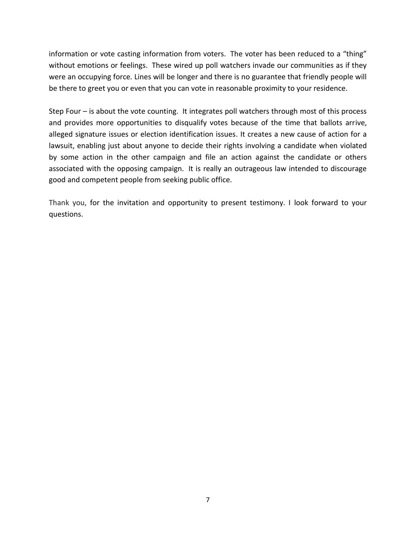information or vote casting information from voters. The voter has been reduced to a "thing" without emotions or feelings. These wired up poll watchers invade our communities as if they were an occupying force. Lines will be longer and there is no guarantee that friendly people will be there to greet you or even that you can vote in reasonable proximity to your residence.

Step Four – is about the vote counting. It integrates poll watchers through most of this process and provides more opportunities to disqualify votes because of the time that ballots arrive, alleged signature issues or election identification issues. It creates a new cause of action for a lawsuit, enabling just about anyone to decide their rights involving a candidate when violated by some action in the other campaign and file an action against the candidate or others associated with the opposing campaign. It is really an outrageous law intended to discourage good and competent people from seeking public office.

Thank you, for the invitation and opportunity to present testimony. I look forward to your questions.